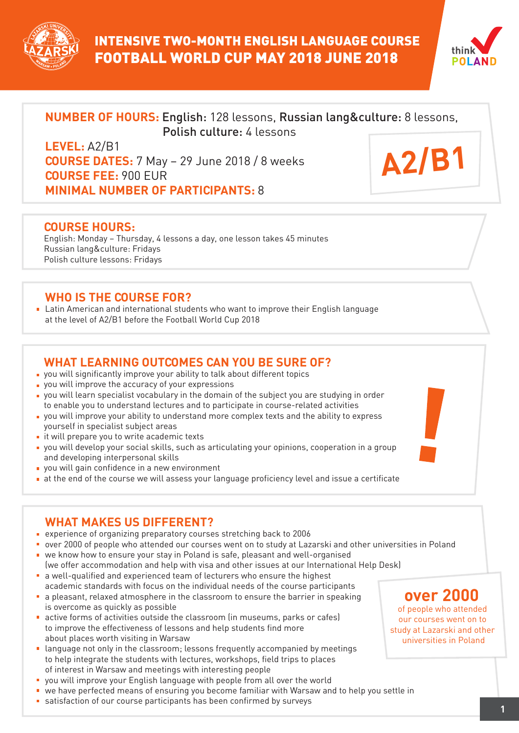



**A2/B1**

# **NUMBER OF HOURS:** English: 128 lessons, Russian lang&culture: 8 lessons, Polish culture: 4 lessons

**LEVEL:** A2/B1 **COURSE DATES:** 7 May – 29 June 2018 / 8 weeks **COURSE FEE:** 900 EUR **MINIMAL NUMBER OF PARTICIPANTS:** 8

#### **COURSE HOURS:**

English: Monday – Thursday, 4 lessons a day, one lesson takes 45 minutes Russian lang&culture: Fridays Polish culture lessons: Fridays

### **WHO IS THE COURSE FOR?**

Latin American and international students who want to improve their English language at the level of A2/B1 before the Football World Cup 2018

## **WHAT LEARNING OUTCOMES CAN YOU BE SURE OF?**

- you will significantly improve your ability to talk about different topics
- **p** you will improve the accuracy of your expressions
- you will learn specialist vocabulary in the domain of the subject you are studying in order to enable you to understand lectures and to participate in course-related activities
- you will improve your ability to understand more complex texts and the ability to express yourself in specialist subject areas
- it will prepare you to write academic texts
- you will develop your social skills, such as articulating your opinions, cooperation in a group and developing interpersonal skills
- **v** you will gain confidence in a new environment
- at the end of the course we will assess your language proficiency level and issue a certificate

## **WHAT MAKES US DIFFERENT?**

- experience of organizing preparatory courses stretching back to 2006
- over 2000 of people who attended our courses went on to study at Lazarski and other universities in Poland we know how to ensure your stay in Poland is safe, pleasant and well-organised
- (we offer accommodation and help with visa and other issues at our International Help Desk) a well-qualified and experienced team of lecturers who ensure the highest
- academic standards with focus on the individual needs of the course participants a pleasant, relaxed atmosphere in the classroom to ensure the barrier in speaking
- is overcome as quickly as possible active forms of activities outside the classroom (in museums, parks or cafes)
- to improve the effectiveness of lessons and help students find more about places worth visiting in Warsaw
- **E** language not only in the classroom; lessons frequently accompanied by meetings to help integrate the students with lectures, workshops, field trips to places of interest in Warsaw and meetings with interesting people
- you will improve your English language with people from all over the world
- we have perfected means of ensuring you become familiar with Warsaw and to help you settle in
- satisfaction of our course participants has been confirmed by surveys **<sup>1</sup>**

# **over 2000**

of people who attended our courses went on to study at Lazarski and other universities in Poland